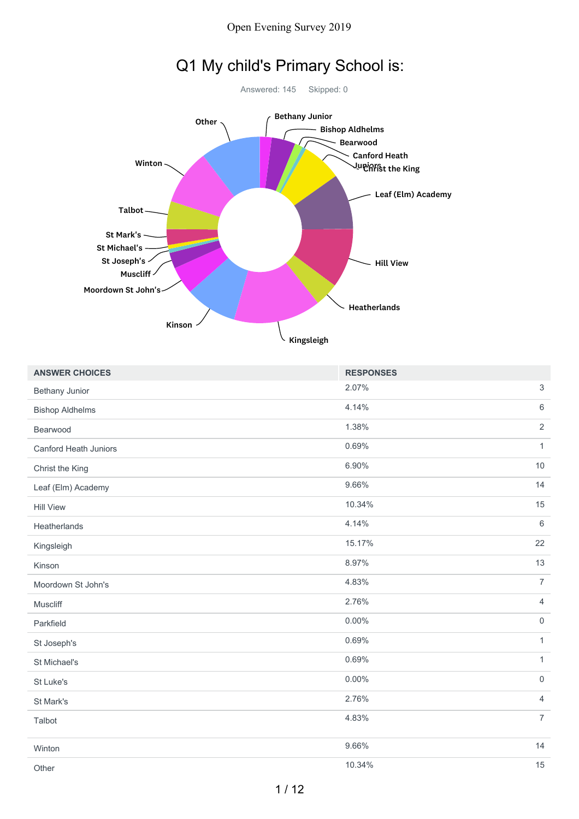

| <b>ANSWER CHOICES</b>        | <b>RESPONSES</b> |                     |
|------------------------------|------------------|---------------------|
| Bethany Junior               | 2.07%            | 3                   |
| <b>Bishop Aldhelms</b>       | 4.14%            | $6\phantom{1}$      |
| Bearwood                     | 1.38%            | $\overline{2}$      |
| <b>Canford Heath Juniors</b> | 0.69%            | $\mathbf{1}$        |
| Christ the King              | 6.90%            | 10                  |
| Leaf (Elm) Academy           | 9.66%            | 14                  |
| <b>Hill View</b>             | 10.34%           | 15                  |
| Heatherlands                 | 4.14%            | $\,6\,$             |
| Kingsleigh                   | 15.17%           | 22                  |
| Kinson                       | 8.97%            | 13                  |
| Moordown St John's           | 4.83%            | $\overline{7}$      |
| Muscliff                     | 2.76%            | $\overline{4}$      |
| Parkfield                    | $0.00\%$         | $\mathbf 0$         |
| St Joseph's                  | 0.69%            | $\mathbf{1}$        |
| St Michael's                 | 0.69%            | $\mathbf{1}$        |
| St Luke's                    | $0.00\%$         | $\mathsf{O}\xspace$ |
| St Mark's                    | 2.76%            | $\overline{4}$      |
| Talbot                       | 4.83%            | $\overline{7}$      |
| Winton                       | 9.66%            | 14                  |
| Other                        | 10.34%           | 15                  |

#### 1 / 12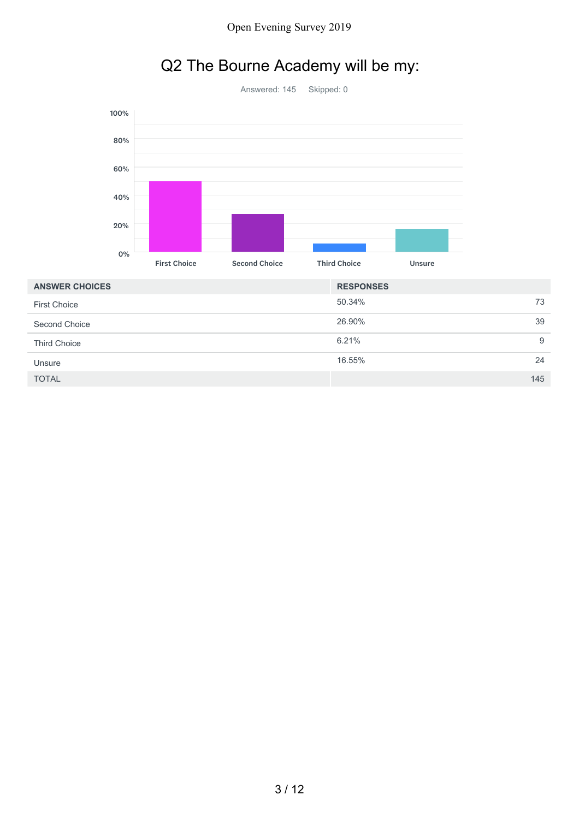## Q2 The Bourne Academy will be my:

Answered: 145 Skipped: 0



| <b>ANSWER CHOICES</b> | <b>RESPONSES</b> |     |
|-----------------------|------------------|-----|
| <b>First Choice</b>   | 50.34%           | 73  |
| Second Choice         | 26.90%           | 39  |
| <b>Third Choice</b>   | 6.21%            | 9   |
| Unsure                | 16.55%           | 24  |
| <b>TOTAL</b>          |                  | 145 |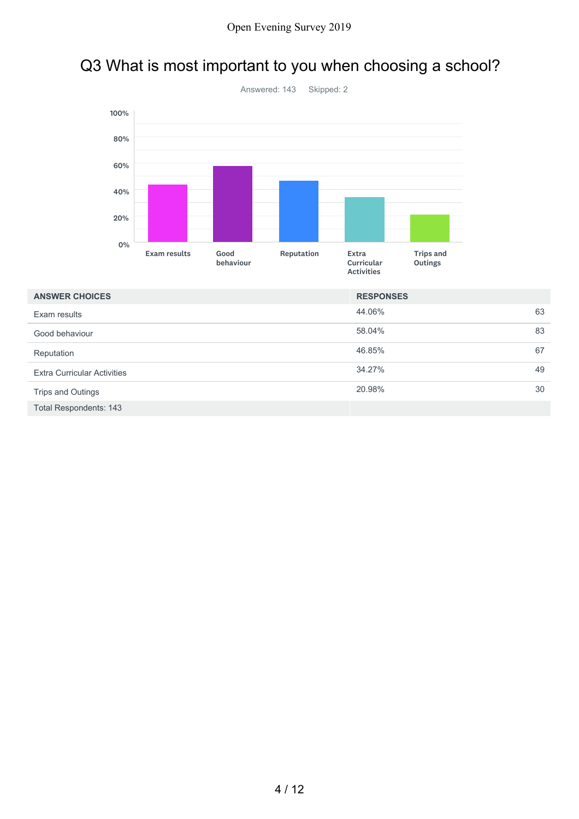## Q3 What is most important to you when choosing a school?



| <b>ANSWER CHOICES</b>              | <b>RESPONSES</b> |    |
|------------------------------------|------------------|----|
| Exam results                       | 44.06%           | 63 |
| Good behaviour                     | 58.04%           | 83 |
| Reputation                         | 46.85%           | 67 |
| <b>Extra Curricular Activities</b> | 34.27%           | 49 |
| Trips and Outings                  | 20.98%           | 30 |
| <b>Total Respondents: 143</b>      |                  |    |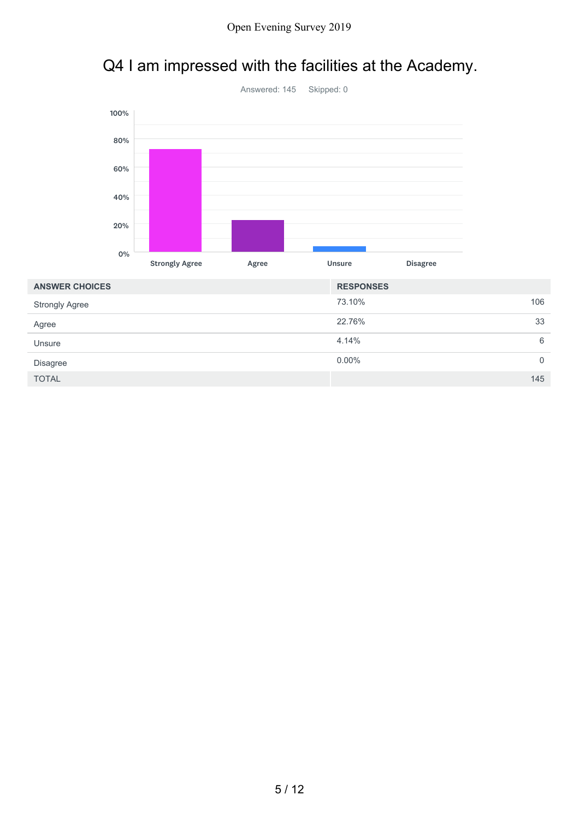# Answered: 145 Skipped: 0 Strongly Agree Agree Unsure Disagree 0% 20% 40% 60% 80% 100%

|                       | 0% | <b>Strongly Agree</b> | Agree | <b>Unsure</b>    | <b>Disagree</b> |          |
|-----------------------|----|-----------------------|-------|------------------|-----------------|----------|
| <b>ANSWER CHOICES</b> |    |                       |       | <b>RESPONSES</b> |                 |          |
| <b>Strongly Agree</b> |    |                       |       | 73.10%           |                 | 106      |
| Agree                 |    |                       |       | 22.76%           |                 | 33       |
| Unsure                |    |                       |       | 4.14%            |                 | 6        |
| Disagree              |    |                       |       | $0.00\%$         |                 | $\Omega$ |
|                       |    |                       |       |                  |                 |          |

TOTAL 145

## Q4 I am impressed with the facilities at the Academy.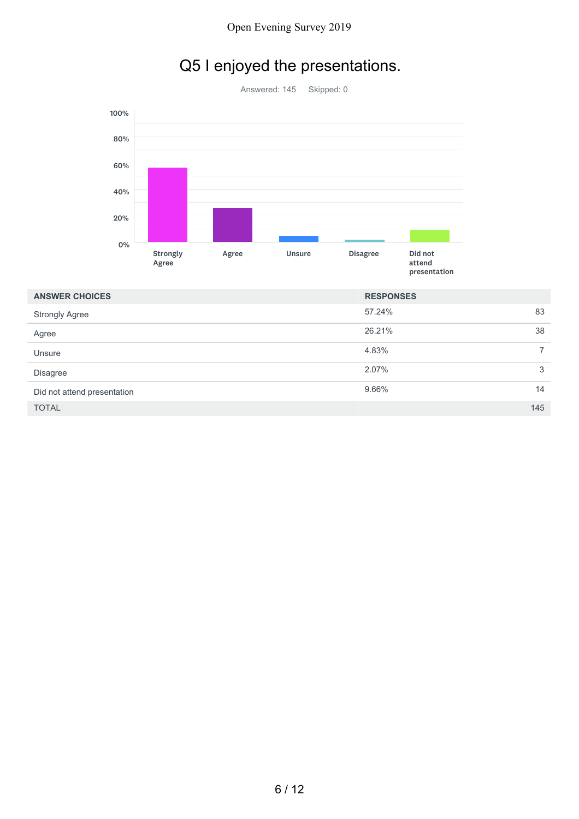# Q5 I enjoyed the presentations.

Answered: 145 Skipped: 0



| <b>ANSWER CHOICES</b>       | <b>RESPONSES</b> |
|-----------------------------|------------------|
| <b>Strongly Agree</b>       | 57.24%<br>83     |
| Agree                       | 26.21%<br>38     |
| Unsure                      | 4.83%<br>⇁       |
| <b>Disagree</b>             | 2.07%<br>3       |
| Did not attend presentation | 9.66%<br>14      |
| <b>TOTAL</b>                | 145              |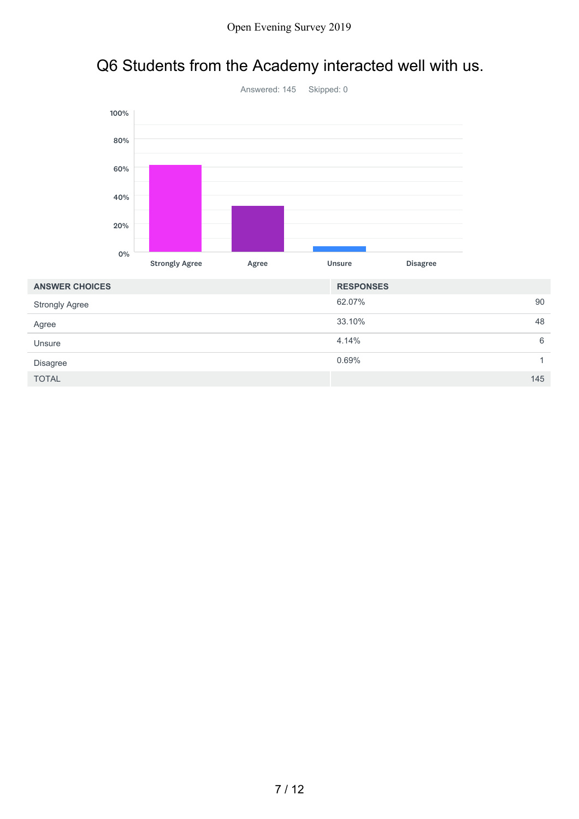## Q6 Students from the Academy interacted well with us.



| <b>ANSWER CHOICES</b> | <b>RESPONSES</b> |     |
|-----------------------|------------------|-----|
| <b>Strongly Agree</b> | 62.07%           | 90  |
| Agree                 | 33.10%           | 48  |
| Unsure                | 4.14%            | 6   |
| <b>Disagree</b>       | 0.69%            |     |
| <b>TOTAL</b>          |                  | 145 |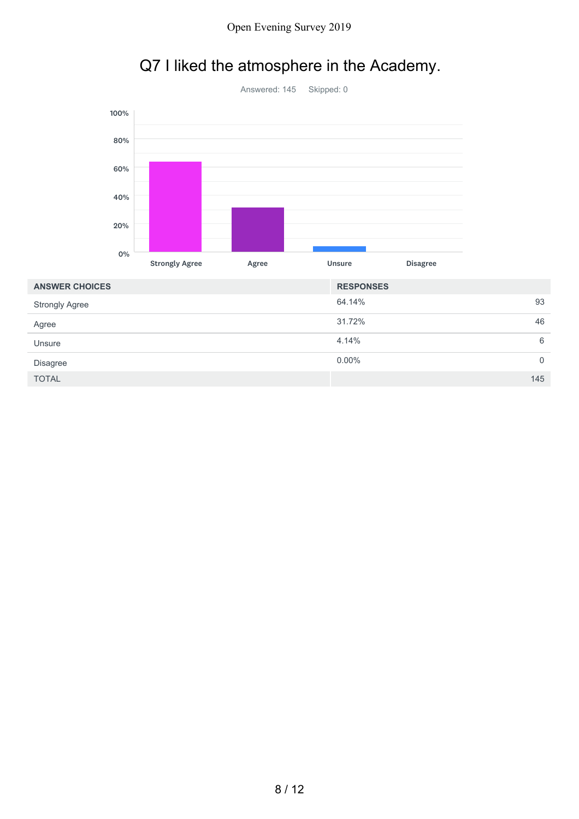

#### Q7 I liked the atmosphere in the Academy.

| <b>ANSWER CHOICES</b> | <b>RESPONSES</b> |
|-----------------------|------------------|
| <b>Strongly Agree</b> | 64.14%<br>93     |
| Agree                 | 31.72%<br>46     |
| Unsure                | 4.14%<br>6       |
| Disagree              | $0.00\%$<br>0    |
| <b>TOTAL</b>          | 145              |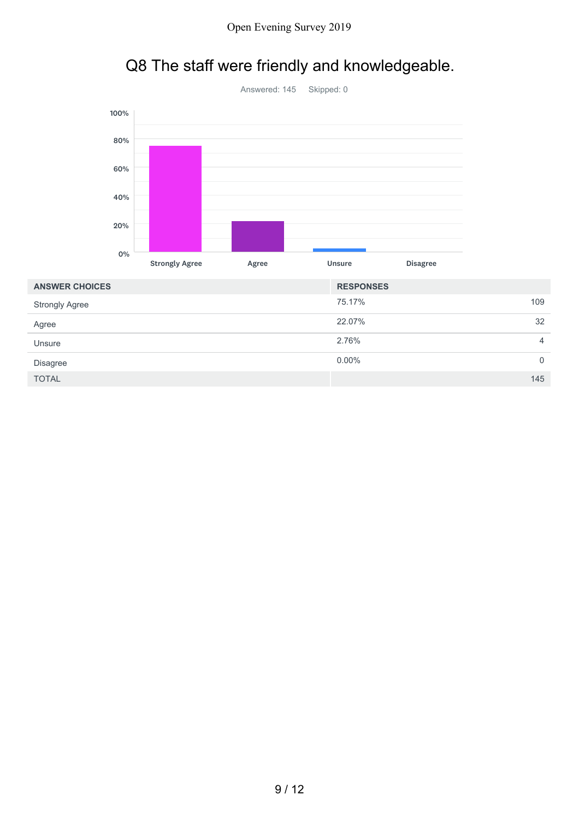#### Q8 The staff were friendly and knowledgeable.



| <b>ANSWER CHOICES</b> | <b>RESPONSES</b> |             |
|-----------------------|------------------|-------------|
| <b>Strongly Agree</b> | 75.17%           | 109         |
| Agree                 | 22.07%           | 32          |
| Unsure                | 2.76%            | 4           |
| <b>Disagree</b>       | $0.00\%$         | $\mathbf 0$ |
| <b>TOTAL</b>          |                  | 145         |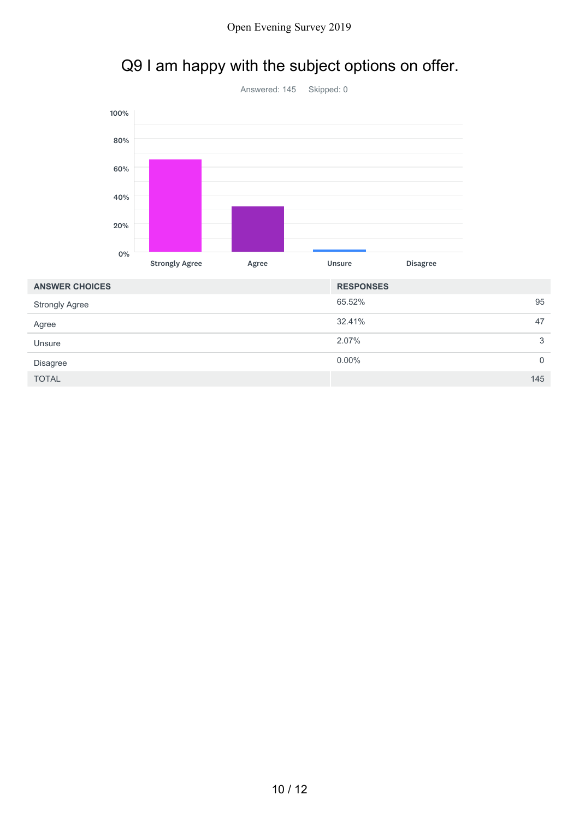# Q9 I am happy with the subject options on offer.



| <b>ANSWER CHOICES</b> | <b>RESPONSES</b> |          |
|-----------------------|------------------|----------|
| <b>Strongly Agree</b> | 65.52%           | 95       |
| Agree                 | 32.41%           | 47       |
| Unsure                | 2.07%            | 3        |
| <b>Disagree</b>       | $0.00\%$         | $\Omega$ |
| <b>TOTAL</b>          |                  | 145      |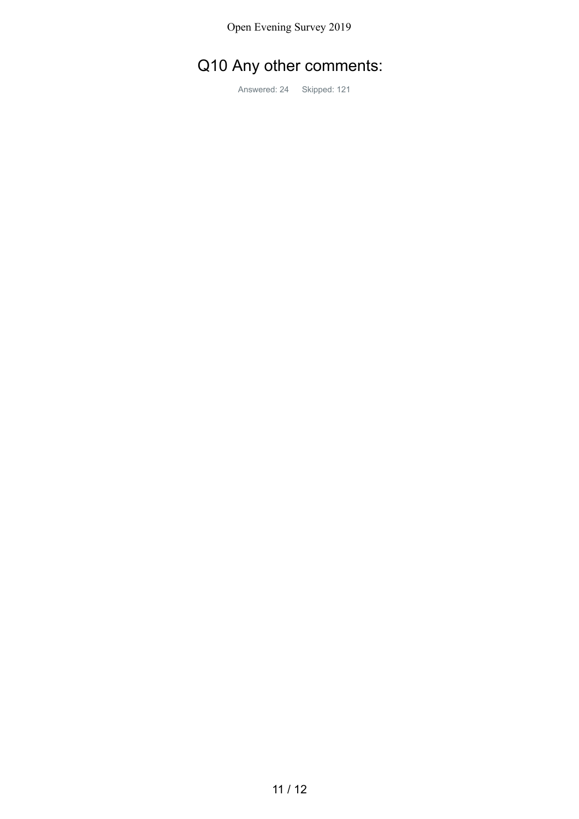## Q10 Any other comments:

Answered: 24 Skipped: 121